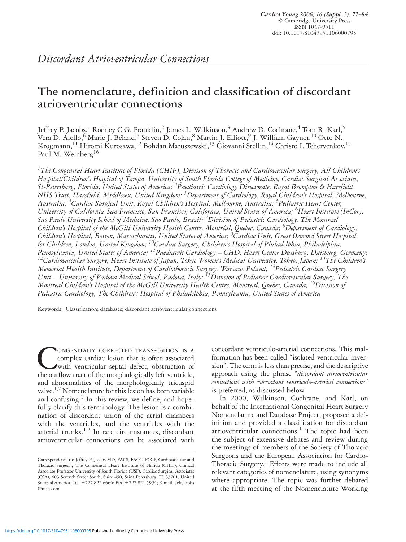# *Discordant Atrioventricular Connections*

# **The nomenclature, definition and classification of discordant atrioventricular connections**

Jeffrey P. Jacobs,<sup>1</sup> Rodney C.G. Franklin,<sup>2</sup> James L. Wilkinson,<sup>3</sup> Andrew D. Cochrane,<sup>4</sup> Tom R. Karl,<sup>5</sup> Vera D. Aiello, <sup>6</sup> Marie J. Béland, <sup>7</sup> Steven D. Colan, <sup>8</sup> Martin J. Elliott, <sup>9</sup> J. William Gaynor, <sup>10</sup> Otto N. Krogmann,<sup>11</sup> Hiromi Kurosawa,<sup>12</sup> Bohdan Maruszewski,<sup>13</sup> Giovanni Stellin,<sup>14</sup> Christo I. Tchervenkov,<sup>15</sup> Paul M. Weinberg<sup>16</sup>

*1 The Congenital Heart Institute of Florida (CHIF), Division of Thoracic and Cardiovascular Surgery, All Children's Hospital/Children's Hospital of Tampa, University of South Florida College of Medicine, Cardiac Surgical Associates, St-Petersburg, Florida, United States of America; 2 Paediatric Cardiology Directorate, Royal Brompton & Harefield NHS Trust, Harefield, Middlesex, United Kingdom; 3 Department of Cardiology, Royal Children's Hospital, Melbourne, Australia; 4 Cardiac Surgical Unit, Royal Children's Hospital, Melbourne, Australia; 5 Pediatric Heart Center, University of California-San Francisco, San Francisco, California, United States of America; 6 Heart Institute (InCor), Sao Paulo University School of Medicine, Sao Paulo, Brazil; 7 Division of Pediatric Cardiology, The Montreal Children's Hospital of the McGill University Health Centre, Montréal, Quebec, Canada; 8 Department of Cardiology, Children's Hospital, Boston, Massachusetts, United States of America; 9 Cardiac Unit, Great Ormond Street Hospital for Children, London, United Kingdom; 10Cardiac Surgery, Children's Hospital of Philadelphia, Philadelphia, Pennsylvania, United States of America; 11Paediatric Cardiology – CHD, Heart Center Duisburg, Duisburg, Germany; 12Cardiovascular Surgery, Heart Institute of Japan, Tokyo Women's Medical University, Tokyo, Japan; 13The Children's Memorial Health Institute, Department of Cardiothoracic Surgery, Warsaw, Poland; 14Pediatric Cardiac Surgery Unit – University of Padova Medical School, Padova, Italy; 15Division of Pediatric Cardiovascular Surgery, The Montreal Children's Hospital of the McGill University Health Centre, Montréal, Quebec, Canada; 16Division of Pediatric Cardiology, The Children's Hospital of Philadelphia, Pennsylvania, United States of America*

Keywords: Classification; databases; discordant atrioventricular connections

CONGENITALLY CORRECTED TRANSPOSITION IS A complex cardiac lesion that is often associated with ventricular septal defect, obstruction of the outflow tract of the morphologically left ventricle, complex cardiac lesion that is often associated with ventricular septal defect, obstruction of and abnormalities of the morphologically tricuspid valve.<sup>1,2</sup> Nomenclature for this lesion has been variable and confusing. $<sup>1</sup>$  In this review, we define, and hope-</sup> fully clarify this terminology. The lesion is a combination of discordant union of the atrial chambers with the ventricles, and the ventricles with the arterial trunks. $1,2$  In rare circumstances, discordant atrioventricular connections can be associated with

concordant ventriculo-arterial connections. This malformation has been called "isolated ventricular inversion". The term is less than precise, and the descriptive approach using the phrase "*discordant atrioventricular connections with concordant ventriculo-arterial connections*" is preferred, as discussed below.

In 2000, Wilkinson, Cochrane, and Karl, on behalf of the International Congenital Heart Surgery Nomenclature and Database Project, proposed a definition and provided a classification for discordant atrioventricular connections.<sup>1</sup> The topic had been the subject of extensive debates and review during the meetings of members of the Society of Thoracic Surgeons and the European Association for Cardio-Thoracic Surgery.<sup>1</sup> Efforts were made to include all relevant categories of nomenclature, using synonyms where appropriate. The topic was further debated at the fifth meeting of the Nomenclature Working

Correspondence to: Jeffrey P. Jacobs MD, FACS, FACC, FCCP, Cardiovascular and Thoracic Surgeon, The Congenital Heart Institute of Florida (CHIF), Clinical Associate Professor University of South Florida (USF), Cardiac Surgical Associates (CSA), 603 Seventh Street South, Suite 450, Saint Petersburg, FL 33701, United States of America. Tel: +727 822 6666; Fax: +727 821 5994; E-mail: JeffJacobs @msn.com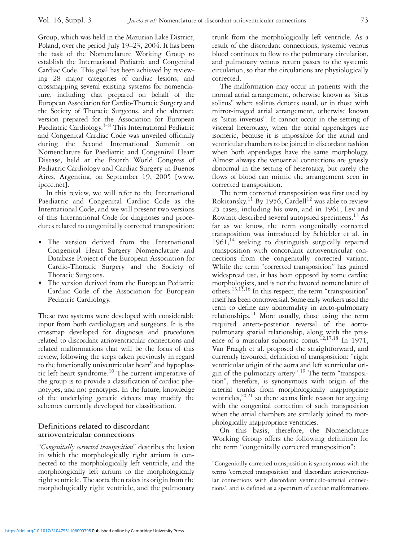Group, which was held in the Mazurian Lake District, Poland, over the period July 19–23, 2004. It has been the task of the Nomenclature Working Group to establish the International Pediatric and Congenital Cardiac Code. This goal has been achieved by reviewing 28 major categories of cardiac lesions, and crossmapping several existing systems for nomenclature, including that prepared on behalf of the European Association for Cardio-Thoracic Surgery and the Society of Thoracic Surgeons, and the alternate version prepared for the Association for European Paediatric Cardiology. $3-8$  This International Pediatric and Congenital Cardiac Code was unveiled officially during the Second International Summit on Nomenclature for Paediatric and Congenital Heart Disease, held at the Fourth World Congress of Pediatric Cardiology and Cardiac Surgery in Buenos Aires, Argentina, on September 19, 2005 [www. ipccc.net].

In this review, we will refer to the International Paediatric and Congenital Cardiac Code as the International Code, and we will present two versions of this International Code for diagnoses and procedures related to congenitally corrected transposition:

- The version derived from the International Congenital Heart Surgery Nomenclature and Database Project of the European Association for Cardio-Thoracic Surgery and the Society of Thoracic Surgeons.
- The version derived from the European Pediatric Cardiac Code of the Association for European Pediatric Cardiology.

These two systems were developed with considerable input from both cardiologists and surgeons. It is the crossmap developed for diagnoses and procedures related to discordant atrioventricular connections and related malformations that will be the focus of this review, following the steps taken previously in regard to the functionally univentricular heart<sup>9</sup> and hypoplastic left heart syndrome.<sup>10</sup> The current imperative of the group is to provide a classification of cardiac phenotypes, and not genotypes. In the future, knowledge of the underlying genetic defects may modify the schemes currently developed for classification.

## **Definitions related to discordant atrioventricular connections**

"*Congenitally corrected transposition*" describes the lesion in which the morphologically right atrium is connected to the morphologically left ventricle, and the morphologically left atrium to the morphologically right ventricle. The aorta then takes its origin from the morphologically right ventricle, and the pulmonary trunk from the morphologically left ventricle. As a result of the discordant connections, systemic venous blood continues to flow to the pulmonary circulation, and pulmonary venous return passes to the systemic circulation, so that the circulations are physiologically corrected.

The malformation may occur in patients with the normal atrial arrangement, otherwise known as "situs solitus" where solitus denotes usual, or in those with mirror-imaged atrial arrangement, otherwise known as "situs inversus". It cannot occur in the setting of visceral heterotaxy, when the atrial appendages are isomeric, because it is impossible for the atrial and ventricular chambers to be joined in discordant fashion when both appendages have the same morphology. Almost always the venoatrial connections are grossly abnormal in the setting of heterotaxy, but rarely the flows of blood can mimic the arrangement seen in corrected transposition.

The term corrected transposition was first used by Rokitansky.<sup>11</sup> By 1956, Cardell<sup>12</sup> was able to review 25 cases, including his own, and in 1961, Lev and Rowlatt described several autopsied specimens.<sup>13</sup> As far as we know, the term congenitally corrected transposition was introduced by Schiebler et al. in  $1961$ ,<sup>14</sup> seeking to distinguish surgically repaired transposition with concordant atrioventricular connections from the congenitally corrected variant. While the term "corrected transposition" has gained widespread use, it has been opposed by some cardiac morphologists, and is not the favored nomenclature of others.<sup>13,15,16</sup> In this respect, the term "transposition" itself has been controversial. Some early workers used the term to define any abnormality in aorto-pulmonary relationships.<sup>11</sup> More usually, those using the term required antero-posterior reversal of the aortopulmonary spatial relationship, along with the presence of a muscular subaortic conus.<sup>12,17,18</sup> In 1971, Van Praagh et al. proposed the straightforward, and currently favoured, definition of transposition: "right ventricular origin of the aorta and left ventricular origin of the pulmonary artery".<sup>19</sup> The term "transposition", therefore, is synonymous with origin of the arterial trunks from morphologically inappropriate ventricles, $20,21$  so there seems little reason for arguing with the congenital correction of such transposition when the atrial chambers are similarly joined to morphologically inappropriate ventricles.

On this basis, therefore, the Nomenclature Working Group offers the following definition for the term "congenitally corrected transposition":

"Congenitally corrected transposition is synonymous with the terms 'corrected transposition' and 'discordant atrioventricular connections with discordant ventriculo-arterial connections', and is defined as a spectrum of cardiac malformations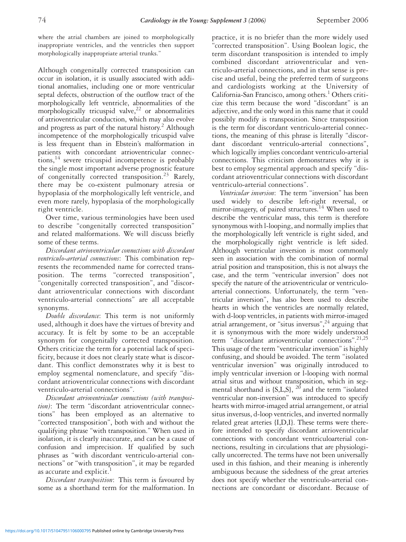where the atrial chambers are joined to morphologically inappropriate ventricles, and the ventricles then support morphologically inappropriate arterial trunks."

Although congenitally corrected transposition can occur in isolation, it is usually associated with additional anomalies, including one or more ventricular septal defects, obstruction of the outflow tract of the morphologically left ventricle, abnormalities of the morphologically tricuspid valve, $22$  or abnormalities of atrioventricular conduction, which may also evolve and progress as part of the natural history.<sup>2</sup> Although incompetence of the morphologically tricuspid valve is less frequent than in Ebstein's malformation in patients with concordant atrioventricular connections,<sup>14</sup> severe tricuspid incompetence is probably the single most important adverse prognostic feature of congenitally corrected transposition.<sup>23</sup> Rarely, there may be co-existent pulmonary atresia or hypoplasia of the morphologically left ventricle, and even more rarely, hypoplasia of the morphologically right ventricle.

Over time, various terminologies have been used to describe "congenitally corrected transposition" and related malformations. We will discuss briefly some of these terms.

*Discordant atrioventricular connections with discordant ventriculo-arterial connections*: This combination represents the recommended name for corrected transposition. The terms "corrected transposition", "congenitally corrected transposition", and "discordant atrioventricular connections with discordant ventriculo-arterial connections" are all acceptable synonyms.

*Double discordance*: This term is not uniformly used, although it does have the virtues of brevity and accuracy. It is felt by some to be an acceptable synonym for congenitally corrected transposition. Others criticize the term for a potential lack of specificity, because it does not clearly state what is discordant. This conflict demonstrates why it is best to employ segmental nomenclature, and specify "discordant atrioventricular connections with discordant ventriculo-arterial connections".

*Discordant atrioventricular connections (with transposition)*: The term "discordant atrioventricular connections" has been employed as an alternative to "corrected transposition", both with and without the qualifying phrase "with transposition." When used in isolation, it is clearly inaccurate, and can be a cause of confusion and imprecision. If qualified by such phrases as "with discordant ventriculo-arterial connections" or "with transposition", it may be regarded as accurate and explicit.<sup>1</sup>

*Discordant transposition*: This term is favoured by some as a shorthand term for the malformation. In practice, it is no briefer than the more widely used "corrected transposition". Using Boolean logic, the term discordant transposition is intended to imply combined discordant atrioventricular and ventriculo-arterial connections, and in that sense is precise and useful, being the preferred term of surgeons and cardiologists working at the University of California-San Francisco, among others.<sup>1</sup> Others criticize this term because the word "discordant" is an adjective, and the only word in this name that it could possibly modify is transposition. Since transposition is the term for discordant ventriculo-arterial connections, the meaning of this phrase is literally "discordant discordant ventriculo-arterial connections", which logically implies concordant ventriculo-arterial connections. This criticism demonstrates why it is best to employ segmental approach and specify "discordant atrioventricular connections with discordant ventriculo-arterial connections".

*Ventricular inversion*: The term "inversion" has been used widely to describe left-right reversal, or mirror-imagery, of paired structures.<sup>14</sup> When used to describe the ventricular mass, this term is therefore synonymous with l-looping, and normally implies that the morphologically left ventricle is right sided, and the morphologically right ventricle is left sided. Although ventricular inversion is most commonly seen in association with the combination of normal atrial position and transposition, this is not always the case, and the term "ventricular inversion" does not specify the nature of the atrioventricular or ventriculoarterial connections. Unfortunately, the term "ventricular inversion", has also been used to describe hearts in which the ventricles are normally related, with d-loop ventricles, in patients with mirror-imaged atrial arrangement, or "situs inversus", $^{24}$  arguing that it is synonymous with the more widely understood term "discordant atrioventricular connections".<sup>21,25</sup> This usage of the term "ventricular inversion" is highly confusing, and should be avoided. The term "isolated ventricular inversion" was originally introduced to imply ventricular inversion or l-looping with normal atrial situs and without transposition, which in segmental shorthand is  $\{S,L,S\}$ ,  $^{20}$  and the term "isolated ventricular non-inversion" was introduced to specify hearts with mirror-imaged atrial arrangement, or atrial situs inversus, d-loop ventricles, and inverted normally related great arteries {I,D,I}. These terms were therefore intended to specify discordant atrioventricular connections with concordant ventriculoarterial connections, resulting in circulations that are physiologically uncorrected. The terms have not been universally used in this fashion, and their meaning is inherently ambiguous because the sidedness of the great arteries does not specify whether the ventriculo-arterial connections are concordant or discordant. Because of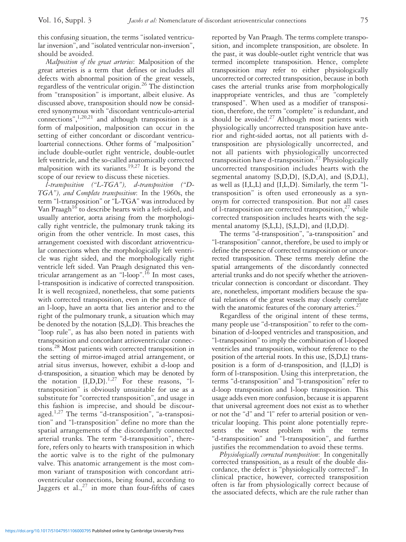this confusing situation, the terms "isolated ventricular inversion", and "isolated ventricular non-inversion", should be avoided.

*Malposition of the great arteries*: Malposition of the great arteries is a term that defines or includes all defects with abnormal position of the great vessels, regardless of the ventricular origin.<sup>26</sup> The distinction from "transposition" is important, albeit elusive. As discussed above, transposition should now be considered synonymous with "discordant ventriculo-arterial connections", $^{1,20,21}$  and although transposition is a form of malposition, malposition can occur in the setting of either concordant or discordant ventriculoarterial connections. Other forms of "malposition" include double-outlet right ventricle, double-outlet left ventricle, and the so-called anatomically corrected malposition with its variants.<sup>19,27</sup> It is beyond the scope of our review to discuss these niceties.

*l-transposition ("L-TGA"), d-transposition ("D-TGA"), and Complete transposition*: In the 1960s, the term "l-transposition" or "L-TGA" was introduced by Van Praagh<sup>16</sup> to describe hearts with a left-sided, and usually anterior, aorta arising from the morphologically right ventricle, the pulmonary trunk taking its origin from the other ventricle. In most cases, this arrangement coexisted with discordant atrioventricular connections when the morphologically left ventricle was right sided, and the morphologically right ventricle left sided. Van Praagh designated this ventricular arrangement as an "l-loop".16 In most cases, l-transposition is indicative of corrected transposition. It is well recognized, nonetheless, that some patients with corrected transposition, even in the presence of an l-loop, have an aorta that lies anterior and to the right of the pulmonary trunk, a situation which may be denoted by the notation {S,L,D}. This breaches the "loop rule", as has also been noted in patients with transposition and concordant atrioventricular connections.28 Most patients with corrected transposition in the setting of mirror-imaged atrial arrangement, or atrial situs inversus, however, exhibit a d-loop and d-transposition, a situation which may be denoted by the notation  ${I,D,D}$ ,  $^{1,27}$  For these reasons, "ltransposition" is obviously unsuitable for use as a substitute for "corrected transposition", and usage in this fashion is imprecise, and should be discouraged.<sup>1,27</sup> The terms "d-transposition", "a-transposition" and "l-transposition" define no more than the spatial arrangements of the discordantly connected arterial trunks. The term "d-transposition", therefore, refers only to hearts with transposition in which the aortic valve is to the right of the pulmonary valve. This anatomic arrangement is the most common variant of transposition with concordant atrioventricular connections, being found, according to Jaggers et al., $^{27}$  in more than four-fifths of cases

reported by Van Praagh. The terms complete transposition, and incomplete transposition, are obsolete. In the past, it was double-outlet right ventricle that was termed incomplete transposition. Hence, complete transposition may refer to either physiologically uncorrected or corrected transposition, because in both cases the arterial trunks arise from morphologically inappropriate ventricles, and thus are "completely transposed". When used as a modifier of transposition, therefore, the term "complete" is redundant, and should be avoided. $27$  Although most patients with physiologically uncorrected transposition have anterior and right-sided aortas, not all patients with dtransposition are physiologically uncorrected, and not all patients with physiologically uncorrected transposition have d-transposition.27 Physiologically uncorrected transposition includes hearts with the segmental anatomy {S,D,D}, {S,D,A}, and {S,D,L}, as well as {I,L,L} and {I,L,D}. Similarly, the term "ltransposition" is often used erroneously as a synonym for corrected transposition. But not all cases of l-transposition are corrected transposition, $^{27}$  while corrected transposition includes hearts with the segmental anatomy {S,L,L}, {S,L,D}, and {I,D,D}.

The terms "d-transposition", "a-transposition" and "l-transposition" cannot, therefore, be used to imply or define the presence of corrected transposition or uncorrected transposition. These terms merely define the spatial arrangements of the discordantly connected arterial trunks and do not specify whether the atrioventricular connection is concordant or discordant. They are, nonetheless, important modifiers because the spatial relations of the great vessels may closely correlate with the anatomic features of the coronary arteries.<sup>27</sup>

Regardless of the original intent of these terms, many people use "d-transposition" to refer to the combination of d-looped ventricles and transposition, and "l-transposition" to imply the combination of l-looped ventricles and transposition, without reference to the position of the arterial roots. In this use, {S,D,L} transposition is a form of d-transposition, and {I,L,D} is form of l-transposition. Using this interpretation, the terms "d-transposition" and "l-transposition" refer to d-loop transposition and l-loop transposition. This usage adds even more confusion, because it is apparent that universal agreement does not exist as to whether or not the "d" and "l" refer to arterial position or ventricular looping. This point alone potentially represents the worst problem with the terms "d-transposition" and "l-transposition", and further justifies the recommendation to avoid these terms.

*Physiologically corrected transposition*: In congenitally corrected transposition, as a result of the double discordance, the defect is "physiologically corrected". In clinical practice, however, corrected transposition often is far from physiologically correct because of the associated defects, which are the rule rather than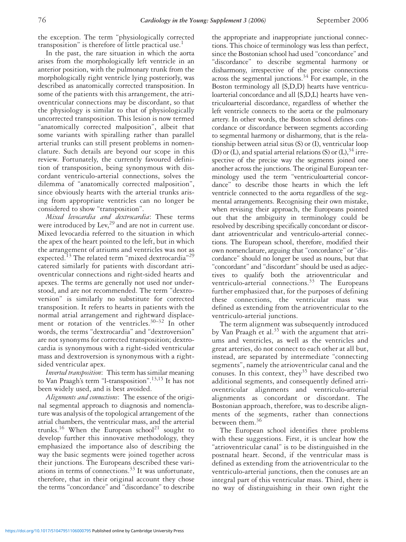the exception. The term "physiologically corrected transposition" is therefore of little practical use.1

In the past, the rare situation in which the aorta arises from the morphologically left ventricle in an anterior position, with the pulmonary trunk from the morphologically right ventricle lying posteriorly, was described as anatomically corrected transposition. In some of the patients with this arrangement, the atrioventricular connections may be discordant, so that the physiology is similar to that of physiologically uncorrected transposition. This lesion is now termed "anatomically corrected malposition", albeit that some variants with spiralling rather than parallel arterial trunks can still present problems in nomenclature. Such details are beyond our scope in this review. Fortunately, the currently favoured definition of transposition, being synonymous with discordant ventriculo-arterial connections, solves the dilemma of "anatomically corrected malposition", since obviously hearts with the arterial trunks arising from appropriate ventricles can no longer be considered to show "transposition".

*Mixed levocardia and dextrocardia*: These terms were introduced by Lev, $^{29}$  and are not in current use. Mixed levocardia referred to the situation in which the apex of the heart pointed to the left, but in which the arrangement of atriums and ventricles was not as expected.<sup>13</sup> The related term "mixed dextrocardia"<sup>29</sup> catered similarly for patients with discordant atrioventricular connections and right-sided hearts and apexes. The terms are generally not used nor understood, and are not recommended. The term "dextroversion" is similarly no substitute for corrected transposition. It refers to hearts in patients with the normal atrial arrangement and rightward displacement or rotation of the ventricles.<sup>30-32</sup> In other words, the terms "dextrocardia" and "dextroversion" are not synonyms for corrected transposition; dextrocardia is synonymous with a right-sided ventricular mass and dextroversion is synonymous with a rightsided ventricular apex.

*Inverted transposition*: This term has similar meaning to Van Praagh's term "l-transposition".<sup>13,15</sup> It has not been widely used, and is best avoided.

*Alignments and connections*: The essence of the original segmental approach to diagnosis and nomenclature was analysis of the topological arrangement of the atrial chambers, the ventricular mass, and the arterial trunks.<sup>16</sup> When the European school<sup>21</sup> sought to develop further this innovative methodology, they emphasized the importance also of describing the way the basic segments were joined together across their junctions. The Europeans described these variations in terms of connections. $33$  It was unfortunate, therefore, that in their original account they chose the terms "concordance" and "discordance" to describe

the appropriate and inappropriate junctional connections. This choice of terminology was less than perfect, since the Bostonian school had used "concordance" and "discordance" to describe segmental harmony or disharmony, irrespective of the precise connections across the segmental junctions. $34$  For example, in the Boston terminology all {S,D,D} hearts have ventriculoarterial concordance and all {S,D,L} hearts have ventriculoarterial discordance, regardless of whether the left ventricle connects to the aorta or the pulmonary artery. In other words, the Boston school defines concordance or discordance between segments according to segmental harmony or disharmony, that is the relationship between atrial situs (S) or (I), ventricular loop (D) or (L), and spatial arterial relations (S) or (L),  $34$  irrespective of the precise way the segments joined one another across the junctions. The original European terminology used the term "ventriculoarterial concordance" to describe those hearts in which the left ventricle connected to the aorta regardless of the segmental arrangements. Recognising their own mistake, when revising their approach, the Europeans pointed out that the ambiguity in terminology could be resolved by describing specifically concordant or discordant atrioventricular and ventriculo-arterial connections. The European school, therefore, modified their own nomenclature, arguing that "concordance" or "discordance" should no longer be used as nouns, but that "concordant" and "discordant" should be used as adjectives to qualify both the atrioventricular and ventriculo-arterial connections.<sup>33</sup> The Europeans further emphasized that, for the purposes of defining these connections, the ventricular mass was defined as extending from the atrioventricular to the ventriculo-arterial junctions.

The term alignment was subsequently introduced by Van Praagh et al.<sup>35</sup> with the argument that atriums and ventricles, as well as the ventricles and great arteries, do not connect to each other at all but, instead, are separated by intermediate "connecting segments", namely the atrioventricular canal and the conuses. In this context, they<sup>35</sup> have described two additional segments, and consequently defined atrioventricular alignments and ventriculo-arterial alignments as concordant or discordant. The Bostonian approach, therefore, was to describe alignments of the segments, rather than connections between them.<sup>36</sup>

The European school identifies three problems with these suggestions. First, it is unclear how the "atrioventricular canal" is to be distinguished in the postnatal heart. Second, if the ventricular mass is defined as extending from the atrioventricular to the ventriculo-arterial junctions, then the conuses are an integral part of this ventricular mass. Third, there is no way of distinguishing in their own right the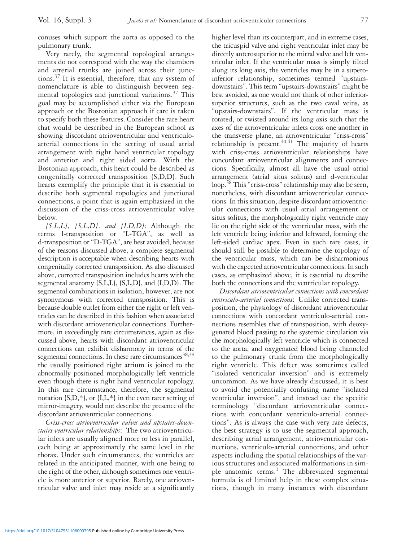### Vol. 16, Suppl. 3 *Jacobs et al:* Nomenclature of discordant atrioventricular connections 77

conuses which support the aorta as opposed to the pulmonary trunk.

Very rarely, the segmental topological arrangements do not correspond with the way the chambers and arterial trunks are joined across their junctions. $37$  It is essential, therefore, that any system of nomenclature is able to distinguish between segmental topologies and junctional variations. $37$  This goal may be accomplished either via the European approach or the Bostonian approach if care is taken to specify both these features. Consider the rare heart that would be described in the European school as showing discordant atrioventricular and ventriculoarterial connections in the setting of usual atrial arrangement with right hand ventricular topology and anterior and right sided aorta. With the Bostonian approach, this heart could be described as congenitally corrected transposition {S,D,D}. Such hearts exemplify the principle that it is essential to describe both segmental topologies and junctional connections, a point that is again emphasized in the discussion of the criss-cross atrioventricular valve below.

*{S,L,L}, {S,L,D}, and {I,D,D}*: Although the terms l-transposition or "L-TGA", as well as d-transposition or "D-TGA", are best avoided, because of the reasons discussed above, a complete segmental description is acceptable when describing hearts with congenitally corrected transposition. As also discussed above, corrected transposition includes hearts with the segmental anatomy {S,L,L}, {S,L,D}, and {I,D,D}. The segmental combinations in isolation, however, are not synonymous with corrected transposition. This is because double outlet from either the right or left ventricles can be described in this fashion when associated with discordant atrioventricular connections. Furthermore, in exceedingly rare circumstances, again as discussed above, hearts with discordant atrioventricular connections can exhibit disharmony in terms of the segmental connections. In these rare circumstances $38,39$ the usually positioned right atrium is joined to the abnormally positioned morphologically left ventricle even though there is right hand ventricular topology. In this rare circumstance, therefore, the segmental notation  $\{S, D, *\}$ , or  $\{I, L, *\}$  in the even rarer setting of mirror-imagery, would not describe the presence of the discordant atrioventricular connections.

*Criss-cross atrioventricular valves and upstairs-downstairs ventricular relationships*: The two atrioventricular inlets are usually aligned more or less in parallel, each being at approximately the same level in the thorax. Under such circumstances, the ventricles are related in the anticipated manner, with one being to the right of the other, although sometimes one ventricle is more anterior or superior. Rarely, one atrioventricular valve and inlet may reside at a significantly higher level than its counterpart, and in extreme cases, the tricuspid valve and right ventricular inlet may be directly anterosuperior to the mitral valve and left ventricular inlet. If the ventricular mass is simply tilted along its long axis, the ventricles may be in a superoinferior relationship, sometimes termed "upstairsdownstairs". This term "upstairs-downstairs" might be best avoided, as one would not think of other inferiorsuperior structures, such as the two caval veins, as "upstairs-downstairs". If the ventricular mass is rotated, or twisted around its long axis such that the axes of the atrioventricular inlets cross one another in the transverse plane, an atrioventricular "criss-cross" relationship is present. $40,41$  The majority of hearts with criss-cross atrioventricular relationships have concordant atrioventricular alignments and connections. Specifically, almost all have the usual atrial arrangement (atrial situs solitus) and d-ventricular loop.38 This "criss-cross" relationship may also be seen, nonetheless, with discordant atrioventricular connections. In this situation, despite discordant atrioventricular connections with usual atrial arrangement or situs solitus, the morphologically right ventricle may lie on the right side of the ventricular mass, with the left ventricle being inferior and leftward, forming the left-sided cardiac apex. Even in such rare cases, it should still be possible to determine the topology of the ventricular mass, which can be disharmonious with the expected atrioventricular connections. In such cases, as emphasized above, it is essential to describe both the connections and the ventricular topology.

*Discordant atrioventricular connections with concordant ventriculo-arterial connections*: Unlike corrected transposition, the physiology of discordant atrioventricular connections with concordant ventriculo-arterial connections resembles that of transposition, with deoxygenated blood passing to the systemic circulation via the morphologically left ventricle which is connected to the aorta, and oxygenated blood being channeled to the pulmonary trunk from the morphologically right ventricle. This defect was sometimes called "isolated ventricular inversion" and is extremely uncommon. As we have already discussed, it is best to avoid the potentially confusing name "isolated ventricular inversion", and instead use the specific terminology "discordant atrioventricular connections with concordant ventriculo-arterial connections". As is always the case with very rare defects, the best strategy is to use the segmental approach, describing atrial arrangement, atrioventricular connections, ventriculo-arterial connections, and other aspects including the spatial relationships of the various structures and associated malformations in simple anatomic terms.<sup>1</sup> The abbreviated segmental formula is of limited help in these complex situations, though in many instances with discordant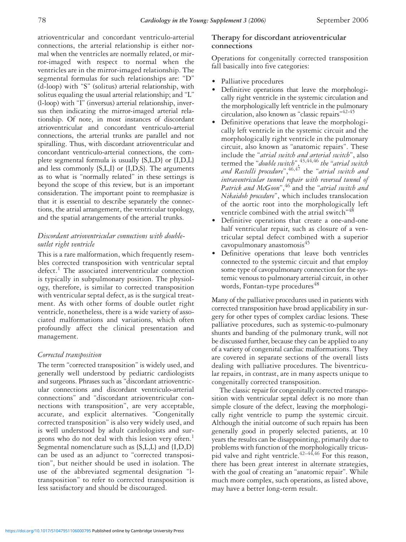atrioventricular and concordant ventriculo-arterial connections, the arterial relationship is either normal when the ventricles are normally related, or mirror-imaged with respect to normal when the ventricles are in the mirror-imaged relationship. The segmental formulas for such relationships are: "D" (d-loop) with "S" (solitus) arterial relationship, with solitus equaling the usual arterial relationship; and "L" (l-loop) with "I" (inversus) arterial relationship, inversus then indicating the mirror-imaged arterial relationship. Of note, in most instances of discordant atrioventricular and concordant ventriculo-arterial connections, the arterial trunks are parallel and not spiralling. Thus, with discordant atrioventricular and concordant ventriculo-arterial connections, the complete segmental formula is usually {S,L,D} or {I,D,L} and less commonly {S,L,I} or {I,D,S}. The arguments as to what is "normally related" in these settings is beyond the scope of this review, but is an important consideration. The important point to reemphasize is that it is essential to describe separately the connections, the atrial arrangement, the ventricular topology, and the spatial arrangements of the arterial trunks.

## *Discordant atrioventricular connections with doubleoutlet right ventricle*

This is a rare malformation, which frequently resembles corrected transposition with ventricular septal defect.<sup>1</sup> The associated interventricular connection is typically in subpulmonary position. The physiology, therefore, is similar to corrected transposition with ventricular septal defect, as is the surgical treatment. As with other forms of double outlet right ventricle, nonetheless, there is a wide variety of associated malformations and variations, which often profoundly affect the clinical presentation and management.

#### *Corrected transposition*

The term "corrected transposition" is widely used, and generally well understood by pediatric cardiologists and surgeons. Phrases such as "discordant atrioventricular connections and discordant ventriculo-arterial connections" and "discordant atrioventricular connections with transposition", are very acceptable, accurate, and explicit alternatives. "Congenitally corrected transposition" is also very widely used, and is well understood by adult cardiologists and surgeons who do not deal with this lesion very often.<sup>1</sup> Segmental nomenclature such as {S,L,L} and {I,D,D} can be used as an adjunct to "corrected transposition", but neither should be used in isolation. The use of the abbreviated segmental designation "ltransposition" to refer to corrected transposition is less satisfactory and should be discouraged.

### **Therapy for discordant atrioventricular connections**

Operations for congenitally corrected transposition fall basically into five categories:

- Palliative procedures
- Definitive operations that leave the morphologically right ventricle in the systemic circulation and the morphologically left ventricle in the pulmonary circulation, also known as "classic repairs"42-45
- Definitive operations that leave the morphologically left ventricle in the systemic circuit and the morphologically right ventricle in the pulmonary circuit, also known as "anatomic repairs". These include the "*atrial switch and arterial switch*", also termed the "*double switch*",43,44,46 *the "atrial switch and Rastelli procedure*",46,47 the "*atrial switch and intraventricular tunnel repair with reversed tunnel of Patrick and McGoon*",46 and the "*atrial switch and Nikaidoh procedure*", which includes translocation of the aortic root into the morphologically left ventricle combined with the atrial switch"<sup>48</sup>
- Definitive operations that create a one-and-one half ventricular repair, such as closure of a ventricular septal defect combined with a superior cavopulmonary anastomosis $45$
- Definitive operations that leave both ventricles connected to the systemic circuit and that employ some type of cavopulmonary connection for the systemic venous to pulmonary arterial circuit, in other words, Fontan-type procedures<sup>48</sup>

Many of the palliative procedures used in patients with corrected transposition have broad applicability in surgery for other types of complex cardiac lesions. These palliative procedures, such as systemic-to-pulmonary shunts and banding of the pulmonary trunk, will not be discussed further, because they can be applied to any of a variety of congenital cardiac malformations. They are covered in separate sections of the overall lists dealing with palliative procedures. The biventricular repairs, in contrast, are in many aspects unique to congenitally corrected transposition.

The classic repair for congenitally corrected transposition with ventricular septal defect is no more than simple closure of the defect, leaving the morphologically right ventricle to pump the systemic circuit. Although the initial outcome of such repairs has been generally good in properly selected patients, at 10 years the results can be disappointing, primarily due to problems with function of the morphologically tricuspid valve and right ventricle.<sup>42-44,46</sup> For this reason, there has been great interest in alternate strategies, with the goal of creating an "anatomic repair". While much more complex, such operations, as listed above, may have a better long-term result.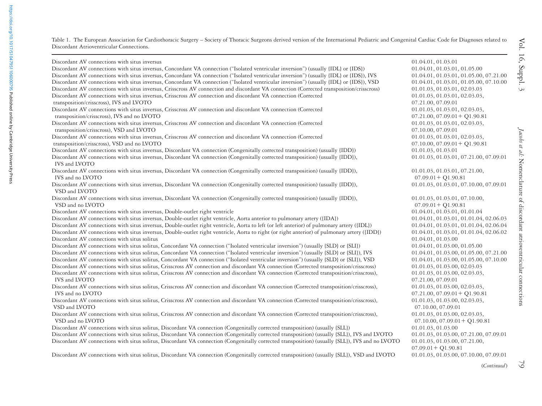79

Vol. 16, Suppl. 3

*Jacobs et al:*

Nomenclature of discordant atrioventricular connections

Bloom, A transpar detection is a special of the special of the special of the special of the special of the special of the special of the special of the special of the special of the special of the special of the special

https://doi.org/10.1017/S1047951106000795 Published online by Cambridge University Press.org/10.1017/S1047951106000795 Published online by Cambridge University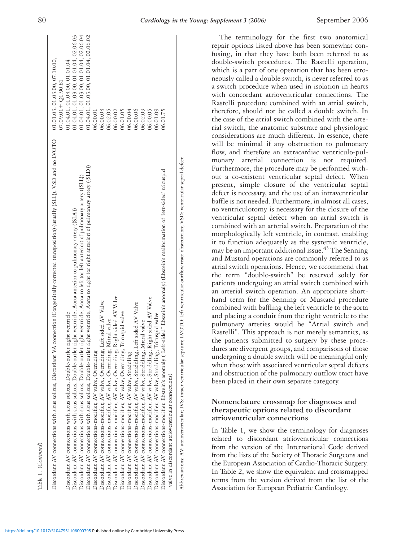| Table 1. (Continued)                                                                                                                                                                          |                                                        |
|-----------------------------------------------------------------------------------------------------------------------------------------------------------------------------------------------|--------------------------------------------------------|
| Discordant AV connections with situs solitus, Discordant VA connection (Congenitally corrected transposition) (usually {SLI}), VSD and no LVOTO                                               | 01.01.03, 01.03.00, 07.10.00,<br>$07.09.01 + Q1.90.81$ |
| Discordant AV connections with situs solitus, Double-outlet right ventricle                                                                                                                   | 01.04.01, 01.03.00, 01.01.04                           |
| Discordant AV connections with situs solitus, Double-outlet right ventricle, Aorta anterior to pulmonary artery ({SLA})                                                                       | 01.04.01, 01.03.00, 01.01.04, 02.06.03                 |
| Discordant AV connections with situs solitus, Double-outlet right ventricle, Aorta to left (or left anterior) of pulmonary artery ({SLL})                                                     | 01.04.01, 01.03.00, 01.01.04, 02.06.04                 |
| Discordant AV connections with situs solitus, Double-outlet right ventricle, Aorta to right (or right anterior) of pulmonary artery ({SLD})                                                   | 01.04.01, 01.03.00, 01.01.04, 02.06.02                 |
| Discordant AV connections-modifier, AV valve, Overriding                                                                                                                                      | 06.00.01                                               |
| sided AV Valve<br>Discordant AV connections-modifier, AV valve, Overriding, Left                                                                                                              | 06.00.03                                               |
| Discordant AV connections-modifier, AV valve, Overriding, Mitral valve                                                                                                                        | 06.02.05                                               |
| Discordant AV connections-modifier, AV valve, Overriding, Right sided AV Valve                                                                                                                | 06.00.02                                               |
| Discordant AV connections-modifier, AV valve, Overriding, Tricuspid valve                                                                                                                     | 06.01.05                                               |
| Discordant AV connections-modifier, AV valve, Straddling                                                                                                                                      | 06.00.04                                               |
| Discordant AV connections-modifier, AV valve, Straddling, Left sided AV Valve                                                                                                                 | 06.00.06                                               |
| Discordant AV connections-modifier, AV valve, Straddling, Mitral valve                                                                                                                        | 06.02.09                                               |
| Discordant AV connections-modifier, AV valve, Straddling, Right sided AV Valve                                                                                                                | 06.00.05                                               |
| Discordant AV connections-modifier, AV valve, Straddling, Tricuspid valve                                                                                                                     | 06.01.09                                               |
| Discordant AV connections-modifier, Ebstein's anomaly ("Left-sided" Ebstein's anomaly) (Ebstein's malformation of 'left-sided' tricuspid<br>valve in discordant atrioventricular connections) | 06.01.75                                               |
| Abbreviations: AV: atrioventricular; IVS: intact ventricular septum; IVOTO: left ventricular outflow tract obstruction; VSD: ventricular septal defect                                        |                                                        |

The terminology for the first two anatomical repair options listed above has been somewhat confusing, in that they have both been referred to as double-switch procedures. The Rastelli operation, which is a part of one operation that has been erroneously called a double switch, is never referred to as a switch procedure when used in isolation in hearts with concordant atrioventricular connections. The Rastelli procedure combined with an atrial switch, therefore, should not be called a double switch. In the case of the atrial switch combined with the arterial switch, the anatomic substrate and physiologic considerations are much different. In essence, there will be minimal if any obstruction to pulmonary flow, and therefore an extracardiac ventriculo-pulmonary arterial connection is not required. Furthermore, the procedure may be performed without a co-existent ventricular septal defect. When present, simple closure of the ventricular septal defect is necessary, and the use of an intraventricular baffle is not needed. Furthermore, in almost all cases, no ventriculotomy is necessary for the closure of the ventricular septal defect when an atrial switch is combined with an arterial switch. Preparation of the morphologically left ventricle, in contrast, enabling it to function adequately as the systemic ventricle, may be an important additional issue.<sup>43</sup> The Senning and Mustard operations are commonly referred to as atrial switch operations. Hence, we recommend that the term "double-switch" be reserved solely for patients undergoing an atrial switch combined with an arterial switch operation. An appropriate shorthand term for the Senning or Mustard procedure combined with baffling the left ventricle to the aorta and placing a conduit from the right ventricle to the pulmonary arteries would be "Atrial switch and Rastelli". This approach is not merely semantics, as the patients submitted to surgery by these procedures are divergent groups, and comparisons of those undergoing a double switch will be meaningful only when those with associated ventricular septal defects and obstruction of the pulmonary outflow tract have been placed in their own separate category.

# **Nomenclature crossmap for diagnoses and therapeutic options related to discordant atrioventricular connections**

In Table 1, we show the terminology for diagnoses related to discordant atrioventricular connections from the version of the International Code derived from the lists of the Society of Thoracic Surgeons and the European Association of Cardio-Thoracic Surgery. In Table 2, we show the equivalent and crossmapped terms from the version derived from the list of the Association for European Pediatric Cardiology.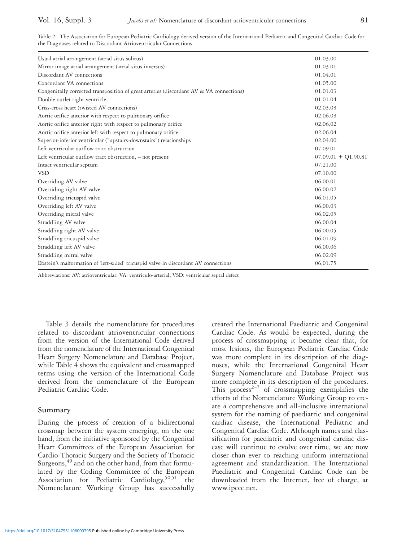## Vol. 16, Suppl. 3 *Jacobs et al:* Nomenclature of discordant atrioventricular connections 81

Table 2. The Association for European Pediatric Cardiology derived version of the International Pediatric and Congenital Cardiac Code for the Diagnoses related to Discordant Atrioventricular Connections.

| Usual atrial arrangement (atrial situs solitus)                                         | 01.03.00              |
|-----------------------------------------------------------------------------------------|-----------------------|
| Mirror image atrial arrangement (atrial situs inversus)                                 | 01.03.01              |
| Discordant AV connections                                                               | 01.04.01              |
| Concordant VA connections                                                               | 01.05.00              |
| Congenitally corrected transposition of great arteries (discordant AV & VA connections) | 01.01.03              |
| Double outlet right ventricle                                                           | 01.01.04              |
| Criss-cross heart (twisted AV connections)                                              | 02.03.03              |
| Aortic orifice anterior with respect to pulmonary orifice                               | 02.06.03              |
| Aortic orifice anterior right with respect to pulmonary orifice                         | 02.06.02              |
| Aortic orifice anterior left with respect to pulmonary orifice                          | 02.06.04              |
| Superior-inferior ventricular ("upstairs-downstairs") relationships                     | 02.04.00              |
| Left ventricular outflow tract obstruction                                              | 07.09.01              |
| Left ventricular outflow tract obstruction, – not present                               | $07.09.01 + Q1.90.81$ |
| Intact ventricular septum                                                               | 07.21.00              |
| <b>VSD</b>                                                                              | 07.10.00              |
| Overriding AV valve                                                                     | 06.00.01              |
| Overriding right AV valve                                                               | 06.00.02              |
| Overriding tricuspid valve                                                              | 06.01.05              |
| Overriding left AV valve                                                                | 06.00.03              |
| Overriding mitral valve                                                                 | 06.02.05              |
| Straddling AV valve                                                                     | 06.00.04              |
| Straddling right AV valve                                                               | 06.00.05              |
| Straddling tricuspid valve                                                              | 06.01.09              |
| Straddling left AV valve                                                                | 06.00.06              |
| Straddling mitral valve                                                                 | 06.02.09              |
| Ebstein's malformation of 'left-sided' tricuspid valve in discordant AV connections     | 06.01.75              |

Abbreviations: AV: atrioventricular; VA: ventriculo-arterial; VSD: ventricular septal defect

Table 3 details the nomenclature for procedures related to discordant atrioventricular connections from the version of the International Code derived from the nomenclature of the International Congenital Heart Surgery Nomenclature and Database Project, while Table 4 shows the equivalent and crossmapped terms using the version of the International Code derived from the nomenclature of the European Pediatric Cardiac Code.

#### **Summary**

During the process of creation of a bidirectional crossmap between the system emerging, on the one hand, from the initiative sponsored by the Congenital Heart Committees of the European Association for Cardio-Thoracic Surgery and the Society of Thoracic Surgeons, $49$  and on the other hand, from that formulated by the Coding Committee of the European Association for Pediatric Cardiology,  $50,51$  the Nomenclature Working Group has successfully created the International Paediatric and Congenital Cardiac Code. As would be expected, during the process of crossmapping it became clear that, for most lesions, the European Pediatric Cardiac Code was more complete in its description of the diagnoses, while the International Congenital Heart Surgery Nomenclature and Database Project was more complete in its description of the procedures. This process<sup>2-7</sup> of crossmapping exemplifies the efforts of the Nomenclature Working Group to create a comprehensive and all-inclusive international system for the naming of paediatric and congenital cardiac disease, the International Pediatric and Congenital Cardiac Code. Although names and classification for paediatric and congenital cardiac disease will continue to evolve over time, we are now closer than ever to reaching uniform international agreement and standardization. The International Paediatric and Congenital Cardiac Code can be downloaded from the Internet, free of charge, at www.ipccc.net.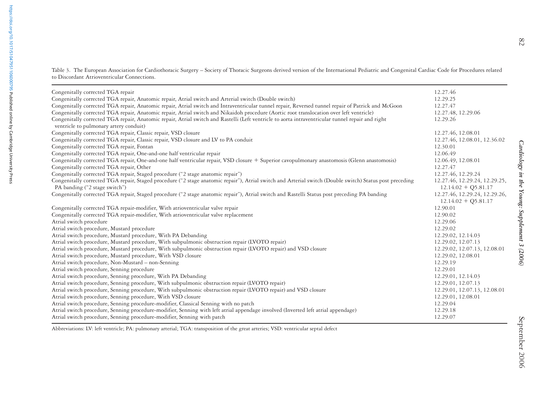*Cardiology in the Young: Supplement 3 (2006)*

82

| Congenitally corrected TGA repair, Anatomic repair, Atrial switch and Arterial switch (Double switch)<br>12.29.25<br>Congenitally corrected TGA repair, Anatomic repair, Atrial switch and Intraventricular tunnel repair, Reversed tunnel repair of Patrick and McGoon<br>12.27.47<br>Congenitally corrected TGA repair, Anatomic repair, Atrial switch and Nikaidoh procedure (Aortic root translocation over left ventricle)<br>12.27.48, 12.29.06<br>Congenitally corrected TGA repair, Anatomic repair, Atrial switch and Rastelli (Left ventricle to aorta intraventricular tunnel repair and right<br>12.29.26<br>ventricle to pulmonary artery conduit)<br>Congenitally corrected TGA repair, Classic repair, VSD closure<br>12.27.46, 12.08.01<br>Congenitally corrected TGA repair, Classic repair, VSD closure and LV to PA conduit<br>12.27.46, 12.08.01, 12.36.02<br>Congenitally corrected TGA repair, Fontan<br>12.30.01<br>Congenitally corrected TGA repair, One-and-one half ventricular repair<br>12.06.49<br>Congenitally corrected TGA repair, One-and-one half ventricular repair, VSD closure + Superior cavopulmonary anastomosis (Glenn anastomosis)<br>12.06.49, 12.08.01<br>Congenitally corrected TGA repair, Other<br>12.27.47<br>Congenitally corrected TGA repair, Staged procedure ("2 stage anatomic repair")<br>12.27.46, 12.29.24<br>Congenitally corrected TGA repair, Staged procedure ("2 stage anatomic repair"), Atrial switch and Arterial switch (Double switch) Status post preceding<br>PA banding ("2 stage switch")<br>$12.14.02 + Q5.81.17$<br>Congenitally corrected TGA repair, Staged procedure ("2 stage anatomic repair"), Atrial switch and Rastelli Status post preceding PA banding<br>$12.14.02 + Q5.81.17$<br>Congenitally corrected TGA repair-modifier, With atrioventricular valve repair<br>12.90.01<br>Congenitally corrected TGA repair-modifier, With atrioventricular valve replacement<br>12.90.02<br>Atrial switch procedure<br>12.29.06<br>Atrial switch procedure, Mustard procedure<br>12.29.02<br>Atrial switch procedure, Mustard procedure, With PA Debanding<br>12.29.02, 12.14.03<br>Atrial switch procedure, Mustard procedure, With subpulmonic obstruction repair (LVOTO repair)<br>12.29.02, 12.07.13<br>Atrial switch procedure, Mustard procedure, With subpulmonic obstruction repair (LVOTO repair) and VSD closure<br>Atrial switch procedure, Mustard procedure, With VSD closure<br>12.29.02, 12.08.01<br>Atrial switch procedure, Non-Mustard - non-Senning<br>12.29.19<br>Atrial switch procedure, Senning procedure<br>12.29.01<br>Atrial switch procedure, Senning procedure, With PA Debanding<br>12.29.01, 12.14.03<br>Atrial switch procedure, Senning procedure, With subpulmonic obstruction repair (LVOTO repair)<br>12.29.01, 12.07.13<br>Atrial switch procedure, Senning procedure, With subpulmonic obstruction repair (LVOTO repair) and VSD closure<br>12.29.01, 12.07.13, 12.08.01<br>Atrial switch procedure, Senning procedure, With VSD closure<br>12.29.01, 12.08.01<br>Atrial switch procedure, Senning procedure-modifier, Classical Senning with no patch<br>12.29.04<br>Atrial switch procedure, Senning procedure-modifier, Senning with left atrial appendage involved (Inverted left atrial appendage)<br>12.29.18<br>Atrial switch procedure, Senning procedure-modifier, Senning with patch<br>12.29.07 | Congenitally corrected TGA repair | 12.27.46                      |
|-----------------------------------------------------------------------------------------------------------------------------------------------------------------------------------------------------------------------------------------------------------------------------------------------------------------------------------------------------------------------------------------------------------------------------------------------------------------------------------------------------------------------------------------------------------------------------------------------------------------------------------------------------------------------------------------------------------------------------------------------------------------------------------------------------------------------------------------------------------------------------------------------------------------------------------------------------------------------------------------------------------------------------------------------------------------------------------------------------------------------------------------------------------------------------------------------------------------------------------------------------------------------------------------------------------------------------------------------------------------------------------------------------------------------------------------------------------------------------------------------------------------------------------------------------------------------------------------------------------------------------------------------------------------------------------------------------------------------------------------------------------------------------------------------------------------------------------------------------------------------------------------------------------------------------------------------------------------------------------------------------------------------------------------------------------------------------------------------------------------------------------------------------------------------------------------------------------------------------------------------------------------------------------------------------------------------------------------------------------------------------------------------------------------------------------------------------------------------------------------------------------------------------------------------------------------------------------------------------------------------------------------------------------------------------------------------------------------------------------------------------------------------------------------------------------------------------------------------------------------------------------------------------------------------------------------------------------------------------------------------------------------------------------------------------------------------------------------------------------------------------------------------------------------------------------------------------------------------------------------------------------------------------------------------------------------------------------------------------------------------------------------------------------------------------|-----------------------------------|-------------------------------|
|                                                                                                                                                                                                                                                                                                                                                                                                                                                                                                                                                                                                                                                                                                                                                                                                                                                                                                                                                                                                                                                                                                                                                                                                                                                                                                                                                                                                                                                                                                                                                                                                                                                                                                                                                                                                                                                                                                                                                                                                                                                                                                                                                                                                                                                                                                                                                                                                                                                                                                                                                                                                                                                                                                                                                                                                                                                                                                                                                                                                                                                                                                                                                                                                                                                                                                                                                                                                                             |                                   |                               |
|                                                                                                                                                                                                                                                                                                                                                                                                                                                                                                                                                                                                                                                                                                                                                                                                                                                                                                                                                                                                                                                                                                                                                                                                                                                                                                                                                                                                                                                                                                                                                                                                                                                                                                                                                                                                                                                                                                                                                                                                                                                                                                                                                                                                                                                                                                                                                                                                                                                                                                                                                                                                                                                                                                                                                                                                                                                                                                                                                                                                                                                                                                                                                                                                                                                                                                                                                                                                                             |                                   |                               |
|                                                                                                                                                                                                                                                                                                                                                                                                                                                                                                                                                                                                                                                                                                                                                                                                                                                                                                                                                                                                                                                                                                                                                                                                                                                                                                                                                                                                                                                                                                                                                                                                                                                                                                                                                                                                                                                                                                                                                                                                                                                                                                                                                                                                                                                                                                                                                                                                                                                                                                                                                                                                                                                                                                                                                                                                                                                                                                                                                                                                                                                                                                                                                                                                                                                                                                                                                                                                                             |                                   |                               |
|                                                                                                                                                                                                                                                                                                                                                                                                                                                                                                                                                                                                                                                                                                                                                                                                                                                                                                                                                                                                                                                                                                                                                                                                                                                                                                                                                                                                                                                                                                                                                                                                                                                                                                                                                                                                                                                                                                                                                                                                                                                                                                                                                                                                                                                                                                                                                                                                                                                                                                                                                                                                                                                                                                                                                                                                                                                                                                                                                                                                                                                                                                                                                                                                                                                                                                                                                                                                                             |                                   |                               |
|                                                                                                                                                                                                                                                                                                                                                                                                                                                                                                                                                                                                                                                                                                                                                                                                                                                                                                                                                                                                                                                                                                                                                                                                                                                                                                                                                                                                                                                                                                                                                                                                                                                                                                                                                                                                                                                                                                                                                                                                                                                                                                                                                                                                                                                                                                                                                                                                                                                                                                                                                                                                                                                                                                                                                                                                                                                                                                                                                                                                                                                                                                                                                                                                                                                                                                                                                                                                                             |                                   |                               |
|                                                                                                                                                                                                                                                                                                                                                                                                                                                                                                                                                                                                                                                                                                                                                                                                                                                                                                                                                                                                                                                                                                                                                                                                                                                                                                                                                                                                                                                                                                                                                                                                                                                                                                                                                                                                                                                                                                                                                                                                                                                                                                                                                                                                                                                                                                                                                                                                                                                                                                                                                                                                                                                                                                                                                                                                                                                                                                                                                                                                                                                                                                                                                                                                                                                                                                                                                                                                                             |                                   |                               |
|                                                                                                                                                                                                                                                                                                                                                                                                                                                                                                                                                                                                                                                                                                                                                                                                                                                                                                                                                                                                                                                                                                                                                                                                                                                                                                                                                                                                                                                                                                                                                                                                                                                                                                                                                                                                                                                                                                                                                                                                                                                                                                                                                                                                                                                                                                                                                                                                                                                                                                                                                                                                                                                                                                                                                                                                                                                                                                                                                                                                                                                                                                                                                                                                                                                                                                                                                                                                                             |                                   |                               |
|                                                                                                                                                                                                                                                                                                                                                                                                                                                                                                                                                                                                                                                                                                                                                                                                                                                                                                                                                                                                                                                                                                                                                                                                                                                                                                                                                                                                                                                                                                                                                                                                                                                                                                                                                                                                                                                                                                                                                                                                                                                                                                                                                                                                                                                                                                                                                                                                                                                                                                                                                                                                                                                                                                                                                                                                                                                                                                                                                                                                                                                                                                                                                                                                                                                                                                                                                                                                                             |                                   |                               |
|                                                                                                                                                                                                                                                                                                                                                                                                                                                                                                                                                                                                                                                                                                                                                                                                                                                                                                                                                                                                                                                                                                                                                                                                                                                                                                                                                                                                                                                                                                                                                                                                                                                                                                                                                                                                                                                                                                                                                                                                                                                                                                                                                                                                                                                                                                                                                                                                                                                                                                                                                                                                                                                                                                                                                                                                                                                                                                                                                                                                                                                                                                                                                                                                                                                                                                                                                                                                                             |                                   |                               |
|                                                                                                                                                                                                                                                                                                                                                                                                                                                                                                                                                                                                                                                                                                                                                                                                                                                                                                                                                                                                                                                                                                                                                                                                                                                                                                                                                                                                                                                                                                                                                                                                                                                                                                                                                                                                                                                                                                                                                                                                                                                                                                                                                                                                                                                                                                                                                                                                                                                                                                                                                                                                                                                                                                                                                                                                                                                                                                                                                                                                                                                                                                                                                                                                                                                                                                                                                                                                                             |                                   |                               |
|                                                                                                                                                                                                                                                                                                                                                                                                                                                                                                                                                                                                                                                                                                                                                                                                                                                                                                                                                                                                                                                                                                                                                                                                                                                                                                                                                                                                                                                                                                                                                                                                                                                                                                                                                                                                                                                                                                                                                                                                                                                                                                                                                                                                                                                                                                                                                                                                                                                                                                                                                                                                                                                                                                                                                                                                                                                                                                                                                                                                                                                                                                                                                                                                                                                                                                                                                                                                                             |                                   |                               |
|                                                                                                                                                                                                                                                                                                                                                                                                                                                                                                                                                                                                                                                                                                                                                                                                                                                                                                                                                                                                                                                                                                                                                                                                                                                                                                                                                                                                                                                                                                                                                                                                                                                                                                                                                                                                                                                                                                                                                                                                                                                                                                                                                                                                                                                                                                                                                                                                                                                                                                                                                                                                                                                                                                                                                                                                                                                                                                                                                                                                                                                                                                                                                                                                                                                                                                                                                                                                                             |                                   | 12.27.46, 12.29.24, 12.29.25, |
|                                                                                                                                                                                                                                                                                                                                                                                                                                                                                                                                                                                                                                                                                                                                                                                                                                                                                                                                                                                                                                                                                                                                                                                                                                                                                                                                                                                                                                                                                                                                                                                                                                                                                                                                                                                                                                                                                                                                                                                                                                                                                                                                                                                                                                                                                                                                                                                                                                                                                                                                                                                                                                                                                                                                                                                                                                                                                                                                                                                                                                                                                                                                                                                                                                                                                                                                                                                                                             |                                   | 12.27.46, 12.29.24, 12.29.26, |
|                                                                                                                                                                                                                                                                                                                                                                                                                                                                                                                                                                                                                                                                                                                                                                                                                                                                                                                                                                                                                                                                                                                                                                                                                                                                                                                                                                                                                                                                                                                                                                                                                                                                                                                                                                                                                                                                                                                                                                                                                                                                                                                                                                                                                                                                                                                                                                                                                                                                                                                                                                                                                                                                                                                                                                                                                                                                                                                                                                                                                                                                                                                                                                                                                                                                                                                                                                                                                             |                                   |                               |
|                                                                                                                                                                                                                                                                                                                                                                                                                                                                                                                                                                                                                                                                                                                                                                                                                                                                                                                                                                                                                                                                                                                                                                                                                                                                                                                                                                                                                                                                                                                                                                                                                                                                                                                                                                                                                                                                                                                                                                                                                                                                                                                                                                                                                                                                                                                                                                                                                                                                                                                                                                                                                                                                                                                                                                                                                                                                                                                                                                                                                                                                                                                                                                                                                                                                                                                                                                                                                             |                                   |                               |
|                                                                                                                                                                                                                                                                                                                                                                                                                                                                                                                                                                                                                                                                                                                                                                                                                                                                                                                                                                                                                                                                                                                                                                                                                                                                                                                                                                                                                                                                                                                                                                                                                                                                                                                                                                                                                                                                                                                                                                                                                                                                                                                                                                                                                                                                                                                                                                                                                                                                                                                                                                                                                                                                                                                                                                                                                                                                                                                                                                                                                                                                                                                                                                                                                                                                                                                                                                                                                             |                                   |                               |
|                                                                                                                                                                                                                                                                                                                                                                                                                                                                                                                                                                                                                                                                                                                                                                                                                                                                                                                                                                                                                                                                                                                                                                                                                                                                                                                                                                                                                                                                                                                                                                                                                                                                                                                                                                                                                                                                                                                                                                                                                                                                                                                                                                                                                                                                                                                                                                                                                                                                                                                                                                                                                                                                                                                                                                                                                                                                                                                                                                                                                                                                                                                                                                                                                                                                                                                                                                                                                             |                                   |                               |
|                                                                                                                                                                                                                                                                                                                                                                                                                                                                                                                                                                                                                                                                                                                                                                                                                                                                                                                                                                                                                                                                                                                                                                                                                                                                                                                                                                                                                                                                                                                                                                                                                                                                                                                                                                                                                                                                                                                                                                                                                                                                                                                                                                                                                                                                                                                                                                                                                                                                                                                                                                                                                                                                                                                                                                                                                                                                                                                                                                                                                                                                                                                                                                                                                                                                                                                                                                                                                             |                                   |                               |
|                                                                                                                                                                                                                                                                                                                                                                                                                                                                                                                                                                                                                                                                                                                                                                                                                                                                                                                                                                                                                                                                                                                                                                                                                                                                                                                                                                                                                                                                                                                                                                                                                                                                                                                                                                                                                                                                                                                                                                                                                                                                                                                                                                                                                                                                                                                                                                                                                                                                                                                                                                                                                                                                                                                                                                                                                                                                                                                                                                                                                                                                                                                                                                                                                                                                                                                                                                                                                             |                                   |                               |
|                                                                                                                                                                                                                                                                                                                                                                                                                                                                                                                                                                                                                                                                                                                                                                                                                                                                                                                                                                                                                                                                                                                                                                                                                                                                                                                                                                                                                                                                                                                                                                                                                                                                                                                                                                                                                                                                                                                                                                                                                                                                                                                                                                                                                                                                                                                                                                                                                                                                                                                                                                                                                                                                                                                                                                                                                                                                                                                                                                                                                                                                                                                                                                                                                                                                                                                                                                                                                             |                                   | 12.29.02, 12.07.13, 12.08.01  |
|                                                                                                                                                                                                                                                                                                                                                                                                                                                                                                                                                                                                                                                                                                                                                                                                                                                                                                                                                                                                                                                                                                                                                                                                                                                                                                                                                                                                                                                                                                                                                                                                                                                                                                                                                                                                                                                                                                                                                                                                                                                                                                                                                                                                                                                                                                                                                                                                                                                                                                                                                                                                                                                                                                                                                                                                                                                                                                                                                                                                                                                                                                                                                                                                                                                                                                                                                                                                                             |                                   |                               |
|                                                                                                                                                                                                                                                                                                                                                                                                                                                                                                                                                                                                                                                                                                                                                                                                                                                                                                                                                                                                                                                                                                                                                                                                                                                                                                                                                                                                                                                                                                                                                                                                                                                                                                                                                                                                                                                                                                                                                                                                                                                                                                                                                                                                                                                                                                                                                                                                                                                                                                                                                                                                                                                                                                                                                                                                                                                                                                                                                                                                                                                                                                                                                                                                                                                                                                                                                                                                                             |                                   |                               |
|                                                                                                                                                                                                                                                                                                                                                                                                                                                                                                                                                                                                                                                                                                                                                                                                                                                                                                                                                                                                                                                                                                                                                                                                                                                                                                                                                                                                                                                                                                                                                                                                                                                                                                                                                                                                                                                                                                                                                                                                                                                                                                                                                                                                                                                                                                                                                                                                                                                                                                                                                                                                                                                                                                                                                                                                                                                                                                                                                                                                                                                                                                                                                                                                                                                                                                                                                                                                                             |                                   |                               |
|                                                                                                                                                                                                                                                                                                                                                                                                                                                                                                                                                                                                                                                                                                                                                                                                                                                                                                                                                                                                                                                                                                                                                                                                                                                                                                                                                                                                                                                                                                                                                                                                                                                                                                                                                                                                                                                                                                                                                                                                                                                                                                                                                                                                                                                                                                                                                                                                                                                                                                                                                                                                                                                                                                                                                                                                                                                                                                                                                                                                                                                                                                                                                                                                                                                                                                                                                                                                                             |                                   |                               |
|                                                                                                                                                                                                                                                                                                                                                                                                                                                                                                                                                                                                                                                                                                                                                                                                                                                                                                                                                                                                                                                                                                                                                                                                                                                                                                                                                                                                                                                                                                                                                                                                                                                                                                                                                                                                                                                                                                                                                                                                                                                                                                                                                                                                                                                                                                                                                                                                                                                                                                                                                                                                                                                                                                                                                                                                                                                                                                                                                                                                                                                                                                                                                                                                                                                                                                                                                                                                                             |                                   |                               |
|                                                                                                                                                                                                                                                                                                                                                                                                                                                                                                                                                                                                                                                                                                                                                                                                                                                                                                                                                                                                                                                                                                                                                                                                                                                                                                                                                                                                                                                                                                                                                                                                                                                                                                                                                                                                                                                                                                                                                                                                                                                                                                                                                                                                                                                                                                                                                                                                                                                                                                                                                                                                                                                                                                                                                                                                                                                                                                                                                                                                                                                                                                                                                                                                                                                                                                                                                                                                                             |                                   |                               |
|                                                                                                                                                                                                                                                                                                                                                                                                                                                                                                                                                                                                                                                                                                                                                                                                                                                                                                                                                                                                                                                                                                                                                                                                                                                                                                                                                                                                                                                                                                                                                                                                                                                                                                                                                                                                                                                                                                                                                                                                                                                                                                                                                                                                                                                                                                                                                                                                                                                                                                                                                                                                                                                                                                                                                                                                                                                                                                                                                                                                                                                                                                                                                                                                                                                                                                                                                                                                                             |                                   |                               |
|                                                                                                                                                                                                                                                                                                                                                                                                                                                                                                                                                                                                                                                                                                                                                                                                                                                                                                                                                                                                                                                                                                                                                                                                                                                                                                                                                                                                                                                                                                                                                                                                                                                                                                                                                                                                                                                                                                                                                                                                                                                                                                                                                                                                                                                                                                                                                                                                                                                                                                                                                                                                                                                                                                                                                                                                                                                                                                                                                                                                                                                                                                                                                                                                                                                                                                                                                                                                                             |                                   |                               |
|                                                                                                                                                                                                                                                                                                                                                                                                                                                                                                                                                                                                                                                                                                                                                                                                                                                                                                                                                                                                                                                                                                                                                                                                                                                                                                                                                                                                                                                                                                                                                                                                                                                                                                                                                                                                                                                                                                                                                                                                                                                                                                                                                                                                                                                                                                                                                                                                                                                                                                                                                                                                                                                                                                                                                                                                                                                                                                                                                                                                                                                                                                                                                                                                                                                                                                                                                                                                                             |                                   |                               |
|                                                                                                                                                                                                                                                                                                                                                                                                                                                                                                                                                                                                                                                                                                                                                                                                                                                                                                                                                                                                                                                                                                                                                                                                                                                                                                                                                                                                                                                                                                                                                                                                                                                                                                                                                                                                                                                                                                                                                                                                                                                                                                                                                                                                                                                                                                                                                                                                                                                                                                                                                                                                                                                                                                                                                                                                                                                                                                                                                                                                                                                                                                                                                                                                                                                                                                                                                                                                                             |                                   |                               |
| Abbreviations: LV: left ventricle; PA: pulmonary arterial; TGA: transposition of the great arteries; VSD: ventricular septal defect                                                                                                                                                                                                                                                                                                                                                                                                                                                                                                                                                                                                                                                                                                                                                                                                                                                                                                                                                                                                                                                                                                                                                                                                                                                                                                                                                                                                                                                                                                                                                                                                                                                                                                                                                                                                                                                                                                                                                                                                                                                                                                                                                                                                                                                                                                                                                                                                                                                                                                                                                                                                                                                                                                                                                                                                                                                                                                                                                                                                                                                                                                                                                                                                                                                                                         |                                   |                               |

https://doi.org/10.1017/S1047951106000795 Published online by Cambridge University Press

https://doi.org/10.1017/S1047951106000795 Published online by Cambridge University Press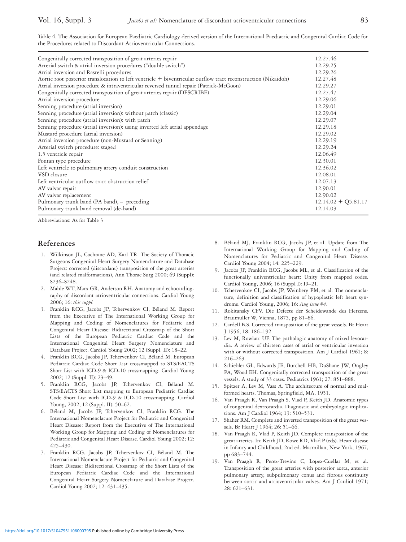## Vol. 16, Suppl. 3 *Jacobs et al:* Nomenclature of discordant atrioventricular connections 83

Table 4. The Association for European Paediatric Cardiology derived version of the International Paediatric and Congenital Cardiac Code for the Procedures related to Discordant Atrioventricular Connections.

| Congenitally corrected transposition of great arteries repair                                                 | 12.27.46              |
|---------------------------------------------------------------------------------------------------------------|-----------------------|
| Arterial switch & atrial inversion procedures ("double switch")                                               | 12.29.25              |
| Atrial inversion and Rastelli procedures                                                                      | 12.29.26              |
| Aortic root posterior translocation to left ventricle + biventricular outflow tract reconstruction (Nikaidoh) | 12.27.48              |
| Atrial inversion procedure & intraventricular reversed tunnel repair (Patrick-McGoon)                         | 12.29.27              |
| Congenitally corrected transposition of great arteries repair (DESCRIBE)                                      | 12.27.47              |
| Atrial inversion procedure                                                                                    | 12.29.06              |
| Senning procedure (atrial inversion)                                                                          | 12.29.01              |
| Senning procedure (atrial inversion): without patch (classic)                                                 | 12.29.04              |
| Senning procedure (atrial inversion): with patch                                                              | 12.29.07              |
| Senning procedure (atrial inversion): using inverted left atrial appendage                                    | 12.29.18              |
| Mustard procedure (atrial inversion)                                                                          | 12.29.02              |
| Atrial inversion procedure (non-Mustard or Senning)                                                           | 12.29.19              |
| Arterial switch procedure: staged                                                                             | 12.29.24              |
| 1.5 ventricle repair                                                                                          | 12.06.49              |
| Fontan type procedure                                                                                         | 12.30.01              |
| Left ventricle to pulmonary artery conduit construction                                                       | 12.36.02              |
| VSD closure                                                                                                   | 12.08.01              |
| Left ventricular outflow tract obstruction relief                                                             | 12.07.13              |
| AV valvar repair                                                                                              | 12.90.01              |
| AV valvar replacement                                                                                         | 12.90.02              |
| Pulmonary trunk band (PA band), - preceding                                                                   | $12.14.02 + Q5.81.17$ |
| Pulmonary trunk band removal (de-band)                                                                        | 12.14.03              |

Abbreviations: As for Table 3

#### **References**

- 1. Wilkinson JL, Cochrane AD, Karl TR. The Society of Thoracic Surgeons Congenital Heart Surgery Nomenclature and Database Project: corrected (discordant) transposition of the great arteries (and related malformations), Ann Thorac Surg 2000; 69 (Suppl): S236–S248.
- 2. Mahle WT, Marx GR, Anderson RH. Anatomy and echocardiography of discordant atrioventricular connections. Cardiol Young 2006; 16: *this suppl.*
- *3.* Franklin RCG, Jacobs JP, Tchervenkov CI, Béland M. Report from the Executive of The International Working Group for Mapping and Coding of Nomenclatures for Pediatric and Congenital Heart Disease: Bidirectional Crossmap of the Short Lists of the European Pediatric Cardiac Code and the International Congenital Heart Surgery Nomenclature and Database Project. Cardiol Young 2002; 12 (Suppl. II): 18–22.
- 4. Franklin RCG, Jacobs JP, Tchervenkov CI, Béland M. European Pediatric Cardiac Code Short List crossmapped to STS/EACTS Short List with ICD-9 & ICD-10 crossmapping. Cardiol Young 2002; 12 (Suppl. II): 23–49.
- 5. Franklin RCG, Jacobs JP, Tchervenkov CI, Béland M. STS/EACTS Short List mapping to European Pediatric Cardiac Code Short List with ICD-9 & ICD-10 crossmapping. Cardiol Young, 2002; 12 (Suppl. II): 50–62.
- 6. Béland M, Jacobs JP, Tchervenkov CI, Franklin RCG. The International Nomenclature Project for Pediatric and Congenital Heart Disease: Report from the Executive of The International Working Group for Mapping and Coding of Nomenclatures for Pediatric and Congenital Heart Disease. Cardiol Young 2002; 12: 425–430.
- 7. Franklin RCG, Jacobs JP, Tchervenkov CI, Béland M. The International Nomenclature Project for Pediatric and Congenital Heart Disease: Bidirectional Crossmap of the Short Lists of the European Pediatric Cardiac Code and the International Congenital Heart Surgery Nomenclature and Database Project. Cardiol Young 2002; 12: 431–435.
- 8. Béland MJ, Franklin RCG, Jacobs JP, et al. Update from The International Working Group for Mapping and Coding of Nomenclatures for Pediatric and Congenital Heart Disease. Cardiol Young 2004; 14: 225–229.
- Jacobs JP, Franklin RCG, Jacobs ML, et al. Classification of the functionally univentricular heart: Unity from mapped codes. Cardiol Young, 2006; 16 (Suppl I): I9–21.
- 10. Tchervenkov CI, Jacobs JP, Weinberg PM, et al. The nomenclature, definition and classification of hypoplastic left heart syndrome. Cardiol Young, 2006; 16: *Aug issue #4*.
- 11. Rokitansky CFV. Die Defecte der Scheidewande des Herzens. Braumuller W, Vienna, 1875, pp 81–86.
- 12. Cardell B.S. Corrected transposition of the great vessels. Br Heart J 1956; 18: 186–192.
- 13. Lev M, Rowlatt UF. The pathologic anatomy of mixed levocardia. A review of thirteen cases of atrial or ventricular inversion with or without corrected transposition. Am J Cardiol 1961; 8: 216–263.
- 14. Schiebler GL, Edwards JE, Burchell HB, DuShane JW, Ongley PA, Wood EH. Congenitally corrected transposition of the great vessels. A study of 33 cases. Pediatrics 1961; 27: 851–888.
- 15. Spitzer A, Lev M, Vass A. The architecture of normal and malformed hearts. Thomas, Springfield, MA, 1951.
- 16. Van Praagh R, Van Praagh S, Vlad P, Keith JD. Anatomic types of congenital dextrocardia. Diagnostic and embryologic implications. Am J Cardiol 1964; 13: 510–531.
- 17. Shaher RM. Complete and inverted transposition of the great vessels. Br Heart J 1964; 26: 51–66.
- 18. Van Praagh R, Vlad P, Keith JD. Complete transposition of the great arteries. In: Keith JD, Rowe RD, Vlad P (eds). Heart disease in Infancy and Childhood, 2nd ed. Macmillan, New York, 1967, pp 683–744.
- 19. Van Praagh R, Perez-Trevino C, Lopez-Cuellar M, et al. Transposition of the great arteries with posterior aorta, anterior pulmonary artery, subpulmonary conus and fibrous continuity between aortic and atrioventricular valves. Am J Cardiol 1971; 28: 621–631.